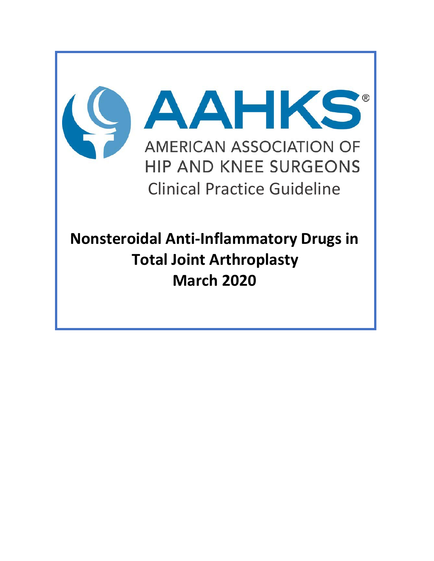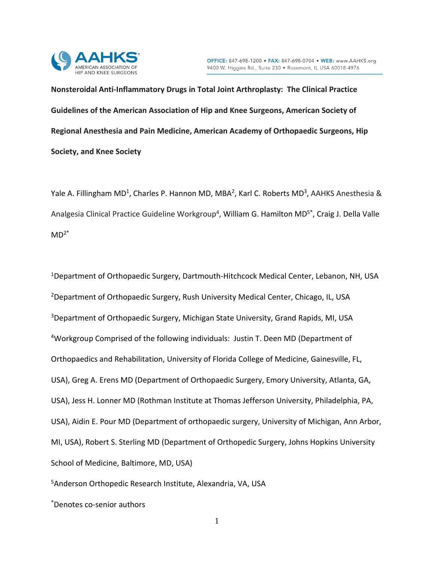

**Nonsteroidal Anti-Inflammatory Drugs in Total Joint Arthroplasty: The Clinical Practice Guidelines of the American Association of Hip and Knee Surgeons, American Society of Regional Anesthesia and Pain Medicine, American Academy of Orthopaedic Surgeons, Hip Society, and Knee Society**

Yale A. Fillingham MD<sup>1</sup>, Charles P. Hannon MD, MBA<sup>2</sup>, Karl C. Roberts MD<sup>3</sup>, AAHKS Anesthesia & Analgesia Clinical Practice Guideline Workgroup<sup>4</sup>, William G. Hamilton MD<sup>5\*</sup>, Craig J. Della Valle  $MD<sup>2*</sup>$ 

<sup>1</sup>Department of Orthopaedic Surgery, Dartmouth-Hitchcock Medical Center, Lebanon, NH, USA 2Department of Orthopaedic Surgery, Rush University Medical Center, Chicago, IL, USA 3Department of Orthopaedic Surgery, Michigan State University, Grand Rapids, MI, USA <sup>4</sup>Workgroup Comprised of the following individuals: Justin T. Deen MD (Department of Orthopaedics and Rehabilitation, University of Florida College of Medicine, Gainesville, FL, USA), Greg A. Erens MD (Department of Orthopaedic Surgery, Emory University, Atlanta, GA, USA), Jess H. Lonner MD (Rothman Institute at Thomas Jefferson University, Philadelphia, PA, USA), Aidin E. Pour MD (Department of orthopaedic surgery, University of Michigan, Ann Arbor, MI, USA), Robert S. Sterling MD (Department of Orthopedic Surgery, Johns Hopkins University School of Medicine, Baltimore, MD, USA)

5Anderson Orthopedic Research Institute, Alexandria, VA, USA

\*Denotes co-senior authors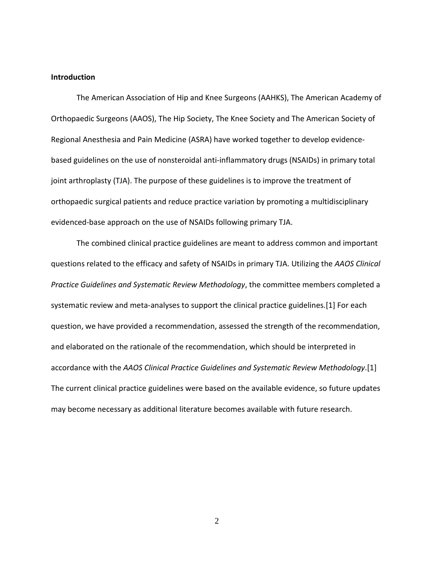#### **Introduction**

The American Association of Hip and Knee Surgeons (AAHKS), The American Academy of Orthopaedic Surgeons (AAOS), The Hip Society, The Knee Society and The American Society of Regional Anesthesia and Pain Medicine (ASRA) have worked together to develop evidencebased guidelines on the use of nonsteroidal anti-inflammatory drugs (NSAIDs) in primary total joint arthroplasty (TJA). The purpose of these guidelines is to improve the treatment of orthopaedic surgical patients and reduce practice variation by promoting a multidisciplinary evidenced-base approach on the use of NSAIDs following primary TJA.

The combined clinical practice guidelines are meant to address common and important questions related to the efficacy and safety of NSAIDs in primary TJA. Utilizing the *AAOS Clinical Practice Guidelines and Systematic Review Methodology*, the committee members completed a systematic review and meta-analyses to support the clinical practice guidelines.[1] For each question, we have provided a recommendation, assessed the strength of the recommendation, and elaborated on the rationale of the recommendation, which should be interpreted in accordance with the *AAOS Clinical Practice Guidelines and Systematic Review Methodology*.[1] The current clinical practice guidelines were based on the available evidence, so future updates may become necessary as additional literature becomes available with future research.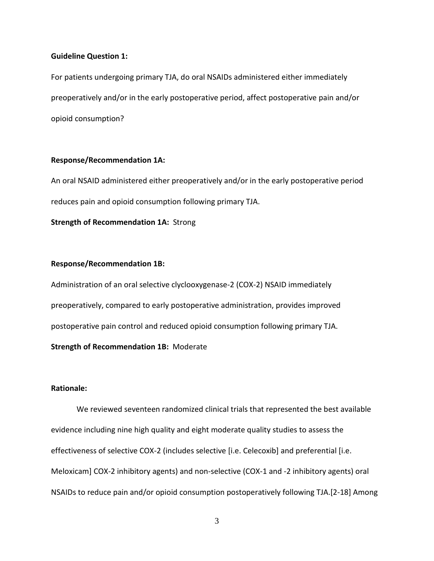#### **Guideline Question 1:**

For patients undergoing primary TJA, do oral NSAIDs administered either immediately preoperatively and/or in the early postoperative period, affect postoperative pain and/or opioid consumption?

## **Response/Recommendation 1A:**

An oral NSAID administered either preoperatively and/or in the early postoperative period reduces pain and opioid consumption following primary TJA.

**Strength of Recommendation 1A:** Strong

#### **Response/Recommendation 1B:**

Administration of an oral selective clyclooxygenase-2 (COX-2) NSAID immediately preoperatively, compared to early postoperative administration, provides improved postoperative pain control and reduced opioid consumption following primary TJA. **Strength of Recommendation 1B:** Moderate

# **Rationale:**

We reviewed seventeen randomized clinical trials that represented the best available evidence including nine high quality and eight moderate quality studies to assess the effectiveness of selective COX-2 (includes selective [i.e. Celecoxib] and preferential [i.e. Meloxicam] COX-2 inhibitory agents) and non-selective (COX-1 and -2 inhibitory agents) oral NSAIDs to reduce pain and/or opioid consumption postoperatively following TJA.[2-18] Among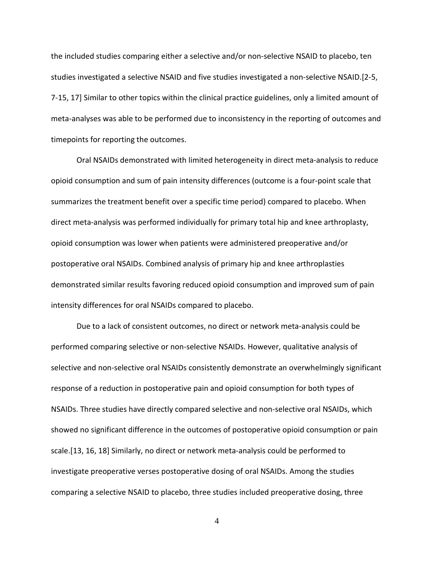the included studies comparing either a selective and/or non-selective NSAID to placebo, ten studies investigated a selective NSAID and five studies investigated a non-selective NSAID.[2-5, 7-15, 17] Similar to other topics within the clinical practice guidelines, only a limited amount of meta-analyses was able to be performed due to inconsistency in the reporting of outcomes and timepoints for reporting the outcomes.

Oral NSAIDs demonstrated with limited heterogeneity in direct meta-analysis to reduce opioid consumption and sum of pain intensity differences (outcome is a four-point scale that summarizes the treatment benefit over a specific time period) compared to placebo. When direct meta-analysis was performed individually for primary total hip and knee arthroplasty, opioid consumption was lower when patients were administered preoperative and/or postoperative oral NSAIDs. Combined analysis of primary hip and knee arthroplasties demonstrated similar results favoring reduced opioid consumption and improved sum of pain intensity differences for oral NSAIDs compared to placebo.

Due to a lack of consistent outcomes, no direct or network meta-analysis could be performed comparing selective or non-selective NSAIDs. However, qualitative analysis of selective and non-selective oral NSAIDs consistently demonstrate an overwhelmingly significant response of a reduction in postoperative pain and opioid consumption for both types of NSAIDs. Three studies have directly compared selective and non-selective oral NSAIDs, which showed no significant difference in the outcomes of postoperative opioid consumption or pain scale.[13, 16, 18] Similarly, no direct or network meta-analysis could be performed to investigate preoperative verses postoperative dosing of oral NSAIDs. Among the studies comparing a selective NSAID to placebo, three studies included preoperative dosing, three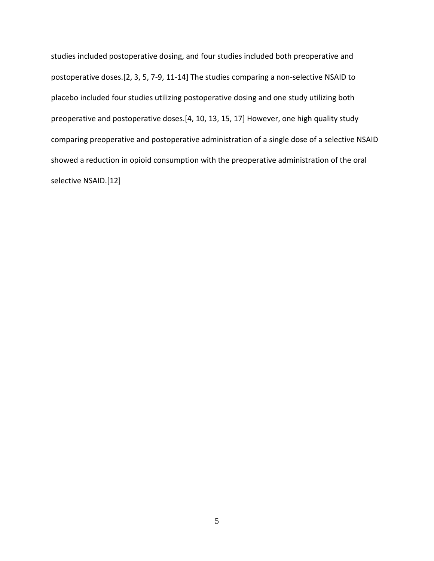studies included postoperative dosing, and four studies included both preoperative and postoperative doses.[2, 3, 5, 7-9, 11-14] The studies comparing a non-selective NSAID to placebo included four studies utilizing postoperative dosing and one study utilizing both preoperative and postoperative doses.[4, 10, 13, 15, 17] However, one high quality study comparing preoperative and postoperative administration of a single dose of a selective NSAID showed a reduction in opioid consumption with the preoperative administration of the oral selective NSAID.[12]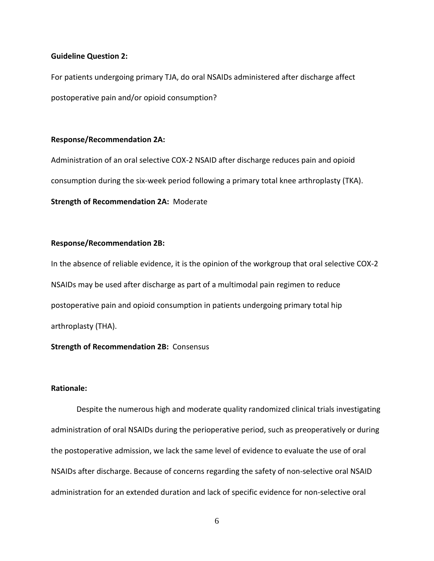#### **Guideline Question 2:**

For patients undergoing primary TJA, do oral NSAIDs administered after discharge affect postoperative pain and/or opioid consumption?

#### **Response/Recommendation 2A:**

Administration of an oral selective COX-2 NSAID after discharge reduces pain and opioid consumption during the six-week period following a primary total knee arthroplasty (TKA). **Strength of Recommendation 2A:** Moderate

## **Response/Recommendation 2B:**

In the absence of reliable evidence, it is the opinion of the workgroup that oral selective COX-2 NSAIDs may be used after discharge as part of a multimodal pain regimen to reduce postoperative pain and opioid consumption in patients undergoing primary total hip arthroplasty (THA).

## **Strength of Recommendation 2B:** Consensus

## **Rationale:**

Despite the numerous high and moderate quality randomized clinical trials investigating administration of oral NSAIDs during the perioperative period, such as preoperatively or during the postoperative admission, we lack the same level of evidence to evaluate the use of oral NSAIDs after discharge. Because of concerns regarding the safety of non-selective oral NSAID administration for an extended duration and lack of specific evidence for non-selective oral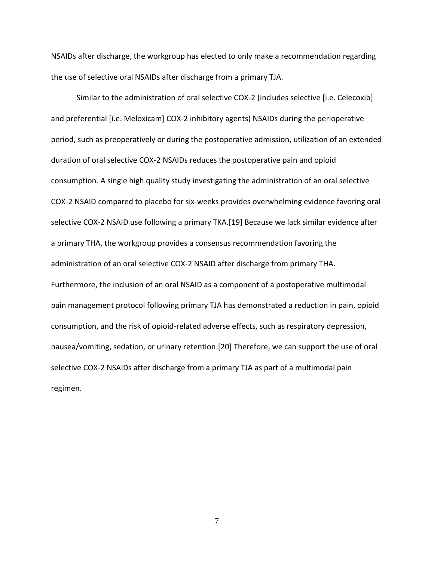NSAIDs after discharge, the workgroup has elected to only make a recommendation regarding the use of selective oral NSAIDs after discharge from a primary TJA.

Similar to the administration of oral selective COX-2 (includes selective [i.e. Celecoxib] and preferential [i.e. Meloxicam] COX-2 inhibitory agents) NSAIDs during the perioperative period, such as preoperatively or during the postoperative admission, utilization of an extended duration of oral selective COX-2 NSAIDs reduces the postoperative pain and opioid consumption. A single high quality study investigating the administration of an oral selective COX-2 NSAID compared to placebo for six-weeks provides overwhelming evidence favoring oral selective COX-2 NSAID use following a primary TKA.[19] Because we lack similar evidence after a primary THA, the workgroup provides a consensus recommendation favoring the administration of an oral selective COX-2 NSAID after discharge from primary THA. Furthermore, the inclusion of an oral NSAID as a component of a postoperative multimodal pain management protocol following primary TJA has demonstrated a reduction in pain, opioid consumption, and the risk of opioid-related adverse effects, such as respiratory depression, nausea/vomiting, sedation, or urinary retention.[20] Therefore, we can support the use of oral selective COX-2 NSAIDs after discharge from a primary TJA as part of a multimodal pain regimen.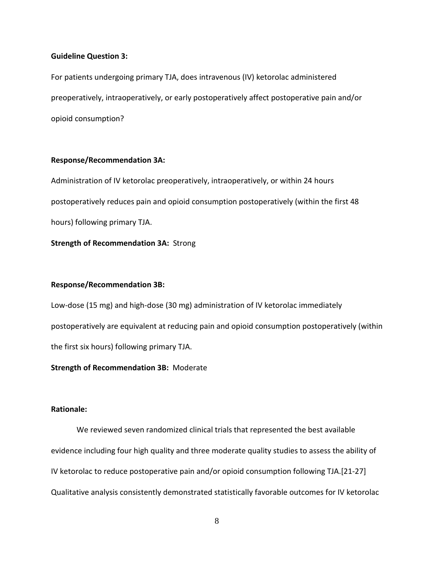#### **Guideline Question 3:**

For patients undergoing primary TJA, does intravenous (IV) ketorolac administered preoperatively, intraoperatively, or early postoperatively affect postoperative pain and/or opioid consumption?

## **Response/Recommendation 3A:**

Administration of IV ketorolac preoperatively, intraoperatively, or within 24 hours postoperatively reduces pain and opioid consumption postoperatively (within the first 48 hours) following primary TJA.

**Strength of Recommendation 3A:** Strong

## **Response/Recommendation 3B:**

Low-dose (15 mg) and high-dose (30 mg) administration of IV ketorolac immediately postoperatively are equivalent at reducing pain and opioid consumption postoperatively (within the first six hours) following primary TJA.

**Strength of Recommendation 3B:** Moderate

# **Rationale:**

We reviewed seven randomized clinical trials that represented the best available evidence including four high quality and three moderate quality studies to assess the ability of IV ketorolac to reduce postoperative pain and/or opioid consumption following TJA.[21-27] Qualitative analysis consistently demonstrated statistically favorable outcomes for IV ketorolac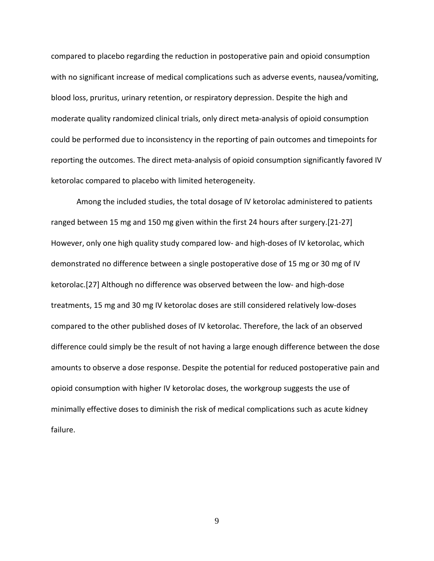compared to placebo regarding the reduction in postoperative pain and opioid consumption with no significant increase of medical complications such as adverse events, nausea/vomiting, blood loss, pruritus, urinary retention, or respiratory depression. Despite the high and moderate quality randomized clinical trials, only direct meta-analysis of opioid consumption could be performed due to inconsistency in the reporting of pain outcomes and timepoints for reporting the outcomes. The direct meta-analysis of opioid consumption significantly favored IV ketorolac compared to placebo with limited heterogeneity.

Among the included studies, the total dosage of IV ketorolac administered to patients ranged between 15 mg and 150 mg given within the first 24 hours after surgery.[21-27] However, only one high quality study compared low- and high-doses of IV ketorolac, which demonstrated no difference between a single postoperative dose of 15 mg or 30 mg of IV ketorolac.[27] Although no difference was observed between the low- and high-dose treatments, 15 mg and 30 mg IV ketorolac doses are still considered relatively low-doses compared to the other published doses of IV ketorolac. Therefore, the lack of an observed difference could simply be the result of not having a large enough difference between the dose amounts to observe a dose response. Despite the potential for reduced postoperative pain and opioid consumption with higher IV ketorolac doses, the workgroup suggests the use of minimally effective doses to diminish the risk of medical complications such as acute kidney failure.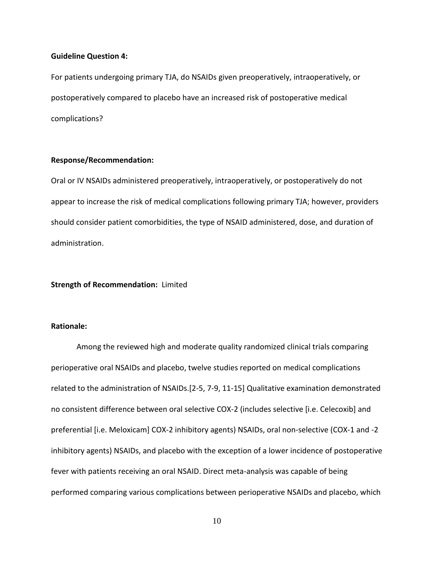#### **Guideline Question 4:**

For patients undergoing primary TJA, do NSAIDs given preoperatively, intraoperatively, or postoperatively compared to placebo have an increased risk of postoperative medical complications?

## **Response/Recommendation:**

Oral or IV NSAIDs administered preoperatively, intraoperatively, or postoperatively do not appear to increase the risk of medical complications following primary TJA; however, providers should consider patient comorbidities, the type of NSAID administered, dose, and duration of administration.

## **Strength of Recommendation:** Limited

## **Rationale:**

Among the reviewed high and moderate quality randomized clinical trials comparing perioperative oral NSAIDs and placebo, twelve studies reported on medical complications related to the administration of NSAIDs.[2-5, 7-9, 11-15] Qualitative examination demonstrated no consistent difference between oral selective COX-2 (includes selective [i.e. Celecoxib] and preferential [i.e. Meloxicam] COX-2 inhibitory agents) NSAIDs, oral non-selective (COX-1 and -2 inhibitory agents) NSAIDs, and placebo with the exception of a lower incidence of postoperative fever with patients receiving an oral NSAID. Direct meta-analysis was capable of being performed comparing various complications between perioperative NSAIDs and placebo, which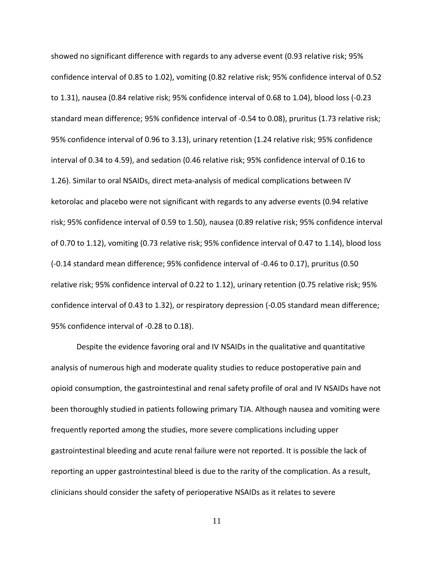showed no significant difference with regards to any adverse event (0.93 relative risk; 95% confidence interval of 0.85 to 1.02), vomiting (0.82 relative risk; 95% confidence interval of 0.52 to 1.31), nausea (0.84 relative risk; 95% confidence interval of 0.68 to 1.04), blood loss (-0.23 standard mean difference; 95% confidence interval of -0.54 to 0.08), pruritus (1.73 relative risk; 95% confidence interval of 0.96 to 3.13), urinary retention (1.24 relative risk; 95% confidence interval of 0.34 to 4.59), and sedation (0.46 relative risk; 95% confidence interval of 0.16 to 1.26). Similar to oral NSAIDs, direct meta-analysis of medical complications between IV ketorolac and placebo were not significant with regards to any adverse events (0.94 relative risk; 95% confidence interval of 0.59 to 1.50), nausea (0.89 relative risk; 95% confidence interval of 0.70 to 1.12), vomiting (0.73 relative risk; 95% confidence interval of 0.47 to 1.14), blood loss (-0.14 standard mean difference; 95% confidence interval of -0.46 to 0.17), pruritus (0.50 relative risk; 95% confidence interval of 0.22 to 1.12), urinary retention (0.75 relative risk; 95% confidence interval of 0.43 to 1.32), or respiratory depression (-0.05 standard mean difference; 95% confidence interval of -0.28 to 0.18).

Despite the evidence favoring oral and IV NSAIDs in the qualitative and quantitative analysis of numerous high and moderate quality studies to reduce postoperative pain and opioid consumption, the gastrointestinal and renal safety profile of oral and IV NSAIDs have not been thoroughly studied in patients following primary TJA. Although nausea and vomiting were frequently reported among the studies, more severe complications including upper gastrointestinal bleeding and acute renal failure were not reported. It is possible the lack of reporting an upper gastrointestinal bleed is due to the rarity of the complication. As a result, clinicians should consider the safety of perioperative NSAIDs as it relates to severe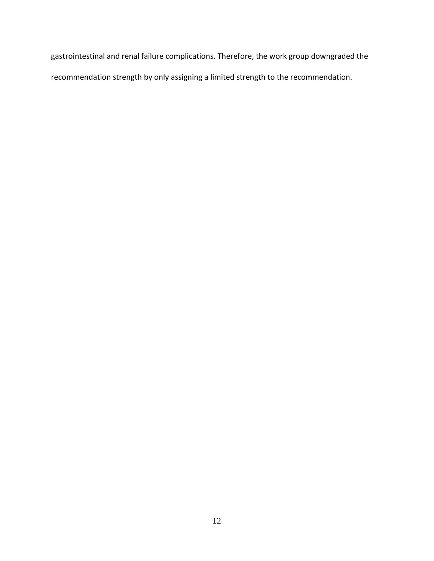gastrointestinal and renal failure complications. Therefore, the work group downgraded the recommendation strength by only assigning a limited strength to the recommendation.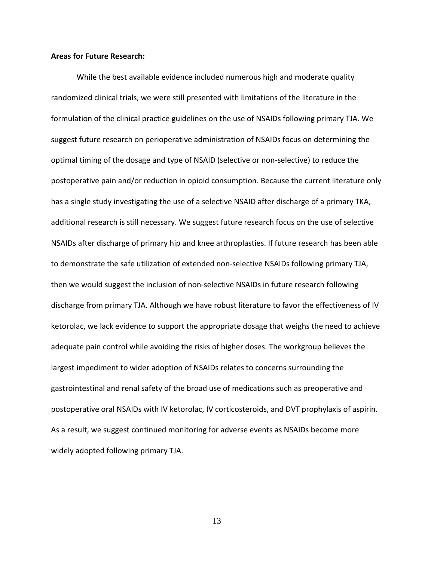#### **Areas for Future Research:**

While the best available evidence included numerous high and moderate quality randomized clinical trials, we were still presented with limitations of the literature in the formulation of the clinical practice guidelines on the use of NSAIDs following primary TJA. We suggest future research on perioperative administration of NSAIDs focus on determining the optimal timing of the dosage and type of NSAID (selective or non-selective) to reduce the postoperative pain and/or reduction in opioid consumption. Because the current literature only has a single study investigating the use of a selective NSAID after discharge of a primary TKA, additional research is still necessary. We suggest future research focus on the use of selective NSAIDs after discharge of primary hip and knee arthroplasties. If future research has been able to demonstrate the safe utilization of extended non-selective NSAIDs following primary TJA, then we would suggest the inclusion of non-selective NSAIDs in future research following discharge from primary TJA. Although we have robust literature to favor the effectiveness of IV ketorolac, we lack evidence to support the appropriate dosage that weighs the need to achieve adequate pain control while avoiding the risks of higher doses. The workgroup believes the largest impediment to wider adoption of NSAIDs relates to concerns surrounding the gastrointestinal and renal safety of the broad use of medications such as preoperative and postoperative oral NSAIDs with IV ketorolac, IV corticosteroids, and DVT prophylaxis of aspirin. As a result, we suggest continued monitoring for adverse events as NSAIDs become more widely adopted following primary TJA.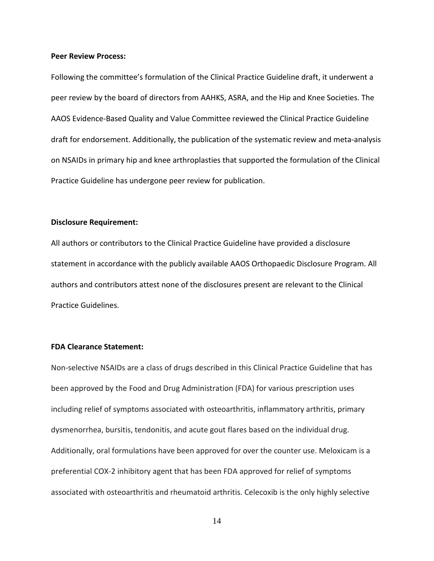#### **Peer Review Process:**

Following the committee's formulation of the Clinical Practice Guideline draft, it underwent a peer review by the board of directors from AAHKS, ASRA, and the Hip and Knee Societies. The AAOS Evidence-Based Quality and Value Committee reviewed the Clinical Practice Guideline draft for endorsement. Additionally, the publication of the systematic review and meta-analysis on NSAIDs in primary hip and knee arthroplasties that supported the formulation of the Clinical Practice Guideline has undergone peer review for publication.

#### **Disclosure Requirement:**

All authors or contributors to the Clinical Practice Guideline have provided a disclosure statement in accordance with the publicly available AAOS Orthopaedic Disclosure Program. All authors and contributors attest none of the disclosures present are relevant to the Clinical Practice Guidelines.

## **FDA Clearance Statement:**

Non-selective NSAIDs are a class of drugs described in this Clinical Practice Guideline that has been approved by the Food and Drug Administration (FDA) for various prescription uses including relief of symptoms associated with osteoarthritis, inflammatory arthritis, primary dysmenorrhea, bursitis, tendonitis, and acute gout flares based on the individual drug. Additionally, oral formulations have been approved for over the counter use. Meloxicam is a preferential COX-2 inhibitory agent that has been FDA approved for relief of symptoms associated with osteoarthritis and rheumatoid arthritis. Celecoxib is the only highly selective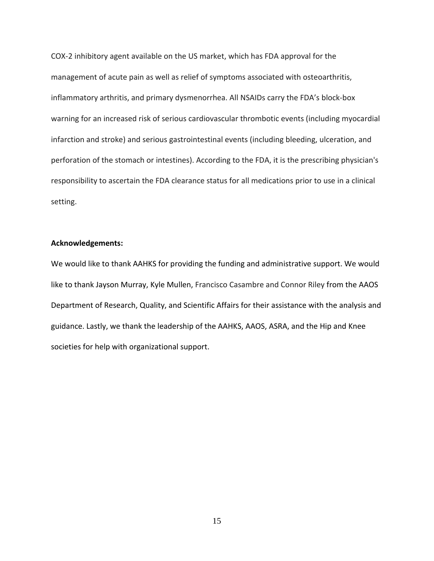COX-2 inhibitory agent available on the US market, which has FDA approval for the management of acute pain as well as relief of symptoms associated with osteoarthritis, inflammatory arthritis, and primary dysmenorrhea. All NSAIDs carry the FDA's block-box warning for an increased risk of serious cardiovascular thrombotic events (including myocardial infarction and stroke) and serious gastrointestinal events (including bleeding, ulceration, and perforation of the stomach or intestines). According to the FDA, it is the prescribing physician's responsibility to ascertain the FDA clearance status for all medications prior to use in a clinical setting.

## **Acknowledgements:**

We would like to thank AAHKS for providing the funding and administrative support. We would like to thank Jayson Murray, Kyle Mullen, Francisco Casambre and Connor Riley from the AAOS Department of Research, Quality, and Scientific Affairs for their assistance with the analysis and guidance. Lastly, we thank the leadership of the AAHKS, AAOS, ASRA, and the Hip and Knee societies for help with organizational support.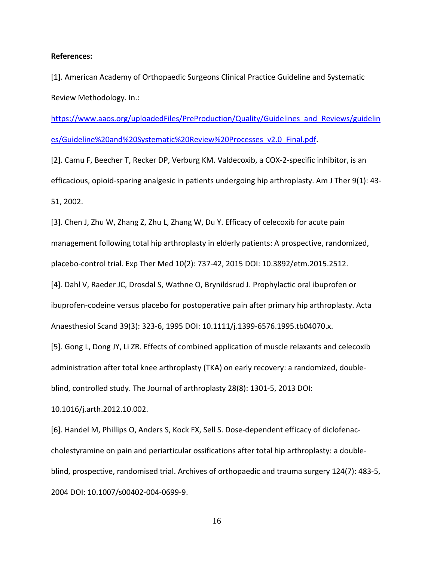#### **References:**

[1]. American Academy of Orthopaedic Surgeons Clinical Practice Guideline and Systematic Review Methodology. In.:

[https://www.aaos.org/uploadedFiles/PreProduction/Quality/Guidelines\\_and\\_Reviews/guidelin](https://www.aaos.org/uploadedFiles/PreProduction/Quality/Guidelines_and_Reviews/guidelines/Guideline%20and%20Systematic%20Review%20Processes_v2.0_Final.pdf) [es/Guideline%20and%20Systematic%20Review%20Processes\\_v2.0\\_Final.pdf.](https://www.aaos.org/uploadedFiles/PreProduction/Quality/Guidelines_and_Reviews/guidelines/Guideline%20and%20Systematic%20Review%20Processes_v2.0_Final.pdf)

[2]. Camu F, Beecher T, Recker DP, Verburg KM. Valdecoxib, a COX-2-specific inhibitor, is an efficacious, opioid-sparing analgesic in patients undergoing hip arthroplasty. Am J Ther 9(1): 43- 51, 2002.

[3]. Chen J, Zhu W, Zhang Z, Zhu L, Zhang W, Du Y. Efficacy of celecoxib for acute pain management following total hip arthroplasty in elderly patients: A prospective, randomized, placebo-control trial. Exp Ther Med 10(2): 737-42, 2015 DOI: 10.3892/etm.2015.2512.

[4]. Dahl V, Raeder JC, Drosdal S, Wathne O, Brynildsrud J. Prophylactic oral ibuprofen or ibuprofen-codeine versus placebo for postoperative pain after primary hip arthroplasty. Acta Anaesthesiol Scand 39(3): 323-6, 1995 DOI: 10.1111/j.1399-6576.1995.tb04070.x.

[5]. Gong L, Dong JY, Li ZR. Effects of combined application of muscle relaxants and celecoxib administration after total knee arthroplasty (TKA) on early recovery: a randomized, double-

blind, controlled study. The Journal of arthroplasty 28(8): 1301-5, 2013 DOI:

10.1016/j.arth.2012.10.002.

[6]. Handel M, Phillips O, Anders S, Kock FX, Sell S. Dose-dependent efficacy of diclofenaccholestyramine on pain and periarticular ossifications after total hip arthroplasty: a doubleblind, prospective, randomised trial. Archives of orthopaedic and trauma surgery 124(7): 483-5, 2004 DOI: 10.1007/s00402-004-0699-9.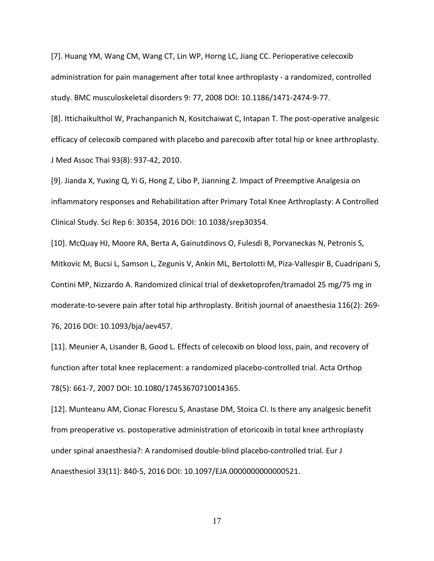[7]. Huang YM, Wang CM, Wang CT, Lin WP, Horng LC, Jiang CC. Perioperative celecoxib administration for pain management after total knee arthroplasty - a randomized, controlled study. BMC musculoskeletal disorders 9: 77, 2008 DOI: 10.1186/1471-2474-9-77.

[8]. Ittichaikulthol W, Prachanpanich N, Kositchaiwat C, Intapan T. The post-operative analgesic efficacy of celecoxib compared with placebo and parecoxib after total hip or knee arthroplasty. J Med Assoc Thai 93(8): 937-42, 2010.

[9]. Jianda X, Yuxing Q, Yi G, Hong Z, Libo P, Jianning Z. Impact of Preemptive Analgesia on inflammatory responses and Rehabilitation after Primary Total Knee Arthroplasty: A Controlled Clinical Study. Sci Rep 6: 30354, 2016 DOI: 10.1038/srep30354.

[10]. McQuay HJ, Moore RA, Berta A, Gainutdinovs O, Fulesdi B, Porvaneckas N, Petronis S, Mitkovic M, Bucsi L, Samson L, Zegunis V, Ankin ML, Bertolotti M, Piza-Vallespir B, Cuadripani S, Contini MP, Nizzardo A. Randomized clinical trial of dexketoprofen/tramadol 25 mg/75 mg in moderate-to-severe pain after total hip arthroplasty. British journal of anaesthesia 116(2): 269- 76, 2016 DOI: 10.1093/bja/aev457.

[11]. Meunier A, Lisander B, Good L. Effects of celecoxib on blood loss, pain, and recovery of function after total knee replacement: a randomized placebo-controlled trial. Acta Orthop 78(5): 661-7, 2007 DOI: 10.1080/17453670710014365.

[12]. Munteanu AM, Cionac Florescu S, Anastase DM, Stoica CI. Is there any analgesic benefit from preoperative vs. postoperative administration of etoricoxib in total knee arthroplasty under spinal anaesthesia?: A randomised double-blind placebo-controlled trial. Eur J Anaesthesiol 33(11): 840-5, 2016 DOI: 10.1097/EJA.0000000000000521.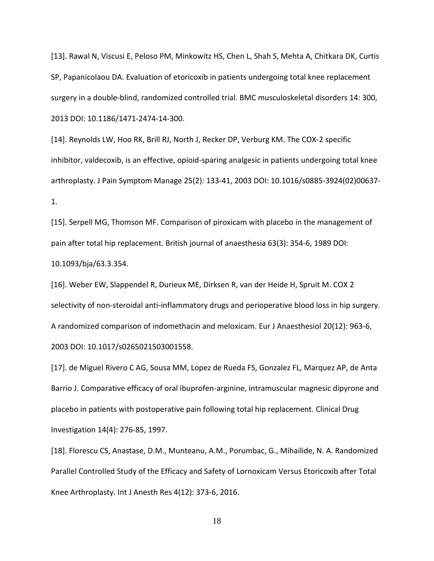[13]. Rawal N, Viscusi E, Peloso PM, Minkowitz HS, Chen L, Shah S, Mehta A, Chitkara DK, Curtis SP, Papanicolaou DA. Evaluation of etoricoxib in patients undergoing total knee replacement surgery in a double-blind, randomized controlled trial. BMC musculoskeletal disorders 14: 300, 2013 DOI: 10.1186/1471-2474-14-300.

[14]. Reynolds LW, Hoo RK, Brill RJ, North J, Recker DP, Verburg KM. The COX-2 specific inhibitor, valdecoxib, is an effective, opioid-sparing analgesic in patients undergoing total knee arthroplasty. J Pain Symptom Manage 25(2): 133-41, 2003 DOI: 10.1016/s0885-3924(02)00637- 1.

[15]. Serpell MG, Thomson MF. Comparison of piroxicam with placebo in the management of pain after total hip replacement. British journal of anaesthesia 63(3): 354-6, 1989 DOI: 10.1093/bja/63.3.354.

[16]. Weber EW, Slappendel R, Durieux ME, Dirksen R, van der Heide H, Spruit M. COX 2 selectivity of non-steroidal anti-inflammatory drugs and perioperative blood loss in hip surgery. A randomized comparison of indomethacin and meloxicam. Eur J Anaesthesiol 20(12): 963-6, 2003 DOI: 10.1017/s0265021503001558.

[17]. de Miguel Rivero C AG, Sousa MM, Lopez de Rueda FS, Gonzalez FL, Marquez AP, de Anta Barrio J. Comparative efficacy of oral ibuprofen-arginine, intramuscular magnesic dipyrone and placebo in patients with postoperative pain following total hip replacement. Clinical Drug Investigation 14(4): 276-85, 1997.

[18]. Florescu CS, Anastase, D.M., Munteanu, A.M., Porumbac, G., Mihailide, N. A. Randomized Parallel Controlled Study of the Efficacy and Safety of Lornoxicam Versus Etoricoxib after Total Knee Arthroplasty. Int J Anesth Res 4(12): 373-6, 2016.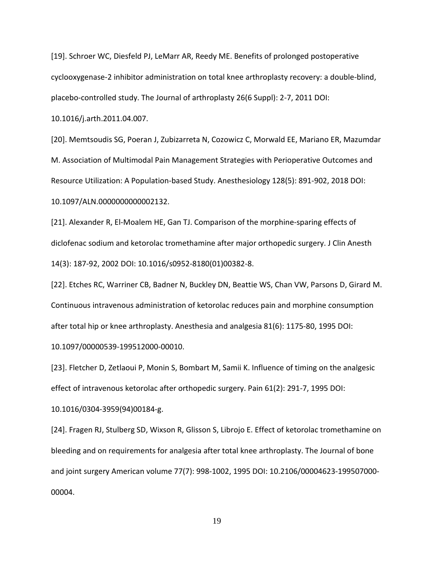[19]. Schroer WC, Diesfeld PJ, LeMarr AR, Reedy ME. Benefits of prolonged postoperative cyclooxygenase-2 inhibitor administration on total knee arthroplasty recovery: a double-blind, placebo-controlled study. The Journal of arthroplasty 26(6 Suppl): 2-7, 2011 DOI:

10.1016/j.arth.2011.04.007.

[20]. Memtsoudis SG, Poeran J, Zubizarreta N, Cozowicz C, Morwald EE, Mariano ER, Mazumdar M. Association of Multimodal Pain Management Strategies with Perioperative Outcomes and Resource Utilization: A Population-based Study. Anesthesiology 128(5): 891-902, 2018 DOI: 10.1097/ALN.0000000000002132.

[21]. Alexander R, El-Moalem HE, Gan TJ. Comparison of the morphine-sparing effects of diclofenac sodium and ketorolac tromethamine after major orthopedic surgery. J Clin Anesth 14(3): 187-92, 2002 DOI: 10.1016/s0952-8180(01)00382-8.

[22]. Etches RC, Warriner CB, Badner N, Buckley DN, Beattie WS, Chan VW, Parsons D, Girard M. Continuous intravenous administration of ketorolac reduces pain and morphine consumption after total hip or knee arthroplasty. Anesthesia and analgesia 81(6): 1175-80, 1995 DOI: 10.1097/00000539-199512000-00010.

[23]. Fletcher D, Zetlaoui P, Monin S, Bombart M, Samii K. Influence of timing on the analgesic effect of intravenous ketorolac after orthopedic surgery. Pain 61(2): 291-7, 1995 DOI:

10.1016/0304-3959(94)00184-g.

[24]. Fragen RJ, Stulberg SD, Wixson R, Glisson S, Librojo E. Effect of ketorolac tromethamine on bleeding and on requirements for analgesia after total knee arthroplasty. The Journal of bone and joint surgery American volume 77(7): 998-1002, 1995 DOI: 10.2106/00004623-199507000- 00004.